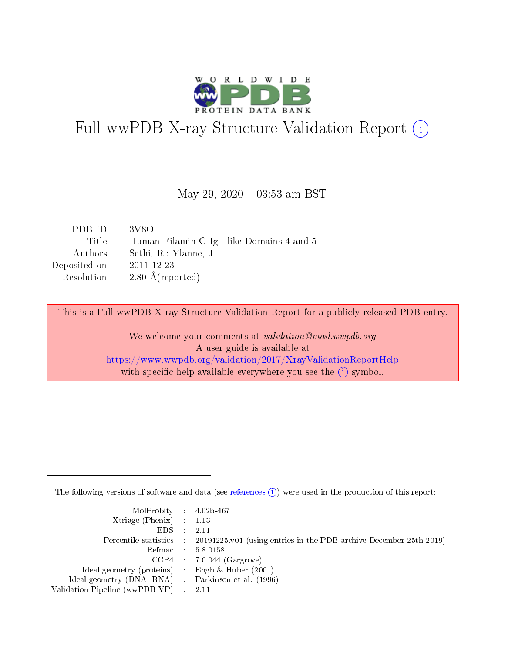

# Full wwPDB X-ray Structure Validation Report (i)

#### May 29,  $2020 - 03:53$  am BST

| PDB ID : $3V8O$                                  |
|--------------------------------------------------|
| Title: Human Filamin C Ig - like Domains 4 and 5 |
| Authors : Sethi, R.; Ylanne, J.                  |
| Deposited on : $2011-12-23$                      |
| Resolution : $2.80 \text{ Å}$ (reported)         |
|                                                  |

This is a Full wwPDB X-ray Structure Validation Report for a publicly released PDB entry.

We welcome your comments at validation@mail.wwpdb.org A user guide is available at <https://www.wwpdb.org/validation/2017/XrayValidationReportHelp> with specific help available everywhere you see the  $(i)$  symbol.

The following versions of software and data (see [references](https://www.wwpdb.org/validation/2017/XrayValidationReportHelp#references)  $(i)$ ) were used in the production of this report:

| MolProbity : 4.02b-467                              |                                                                                            |
|-----------------------------------------------------|--------------------------------------------------------------------------------------------|
| $Xtriangle (Phenix)$ : 1.13                         |                                                                                            |
| $EDS$ :                                             | 2.11                                                                                       |
|                                                     | Percentile statistics : 20191225.v01 (using entries in the PDB archive December 25th 2019) |
|                                                     | Refmac 58.0158                                                                             |
|                                                     | $CCP4$ 7.0.044 (Gargrove)                                                                  |
| Ideal geometry (proteins) : Engh $\&$ Huber (2001)  |                                                                                            |
| Ideal geometry (DNA, RNA) : Parkinson et al. (1996) |                                                                                            |
| Validation Pipeline (wwPDB-VP) : 2.11               |                                                                                            |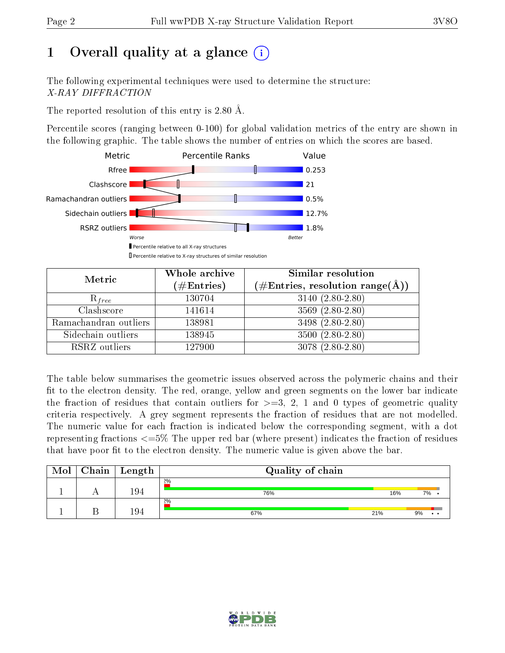# 1 [O](https://www.wwpdb.org/validation/2017/XrayValidationReportHelp#overall_quality)verall quality at a glance  $(i)$

The following experimental techniques were used to determine the structure: X-RAY DIFFRACTION

The reported resolution of this entry is 2.80 Å.

Percentile scores (ranging between 0-100) for global validation metrics of the entry are shown in the following graphic. The table shows the number of entries on which the scores are based.



| Metric                | Whole archive        | Similar resolution                                                        |
|-----------------------|----------------------|---------------------------------------------------------------------------|
|                       | $(\#\text{Entries})$ | $\phi^{\prime}\#\mathrm{Entries}, \mathrm{resolution~range}(\mathrm{A}).$ |
| $R_{free}$            | 130704               | $3140 (2.80 - 2.80)$                                                      |
| Clashscore            | 141614               | $3569(2.80-2.80)$                                                         |
| Ramachandran outliers | 138981               | 3498 (2.80-2.80)                                                          |
| Sidechain outliers    | 138945               | $3500(2.80-2.80)$                                                         |
| RSRZ outliers         | 127900               | $3078(2.80-2.80)$                                                         |

The table below summarises the geometric issues observed across the polymeric chains and their fit to the electron density. The red, orange, yellow and green segments on the lower bar indicate the fraction of residues that contain outliers for  $>=$  3, 2, 1 and 0 types of geometric quality criteria respectively. A grey segment represents the fraction of residues that are not modelled. The numeric value for each fraction is indicated below the corresponding segment, with a dot representing fractions  $\epsilon=5\%$  The upper red bar (where present) indicates the fraction of residues that have poor fit to the electron density. The numeric value is given above the bar.

| Mol | Chain | Length | Quality of chain |     |                             |  |  |  |
|-----|-------|--------|------------------|-----|-----------------------------|--|--|--|
|     |       | 194    | 2%<br>76%        | 16% | 7%                          |  |  |  |
|     |       | 194    | $2\%$<br>67%     | 21% | 9%<br>$\bullet\quad\bullet$ |  |  |  |

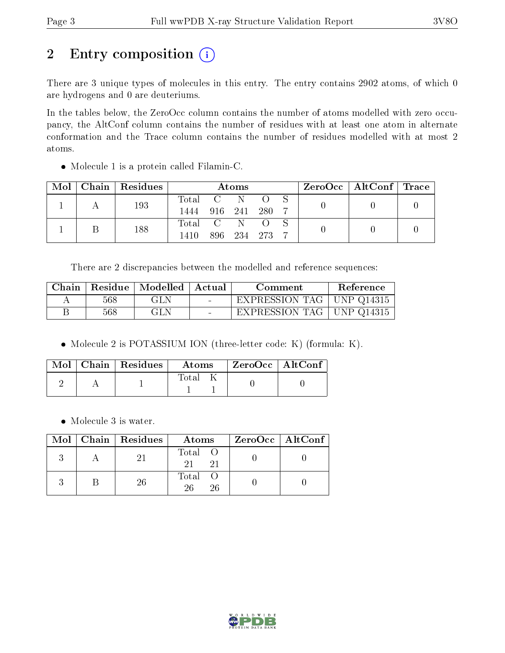# 2 Entry composition (i)

There are 3 unique types of molecules in this entry. The entry contains 2902 atoms, of which 0 are hydrogens and 0 are deuteriums.

In the tables below, the ZeroOcc column contains the number of atoms modelled with zero occupancy, the AltConf column contains the number of residues with at least one atom in alternate conformation and the Trace column contains the number of residues modelled with at most 2 atoms.

| Mol | Chain Residues | <b>Atoms</b> |  |             |       |  |  | $\text{ZeroOcc} \mid \text{AltConf} \mid \text{Trace}$ |  |
|-----|----------------|--------------|--|-------------|-------|--|--|--------------------------------------------------------|--|
|     | 193            | Total C N    |  |             |       |  |  |                                                        |  |
|     |                | 1444 916 241 |  |             | -280- |  |  |                                                        |  |
|     |                | Total C N O  |  |             |       |  |  |                                                        |  |
|     | 188            | 1410         |  | 896 234 273 |       |  |  |                                                        |  |

Molecule 1 is a protein called Filamin-C.

There are 2 discrepancies between the modelled and reference sequences:

| Chain |     | Residue   Modelled | Actual                            | Comment                     | Reference |
|-------|-----|--------------------|-----------------------------------|-----------------------------|-----------|
|       | 568 | GLN                | <b>Contract Contract Contract</b> | EXPRESSION TAG   UNP Q14315 |           |
|       | 568 | GLN                |                                   | EXPRESSION TAG   UNP Q14315 |           |

• Molecule 2 is POTASSIUM ION (three-letter code: K) (formula: K).

|  | $\text{Mol}$   Chain   Residues | Atoms | ZeroOcc   AltConf |  |
|--|---------------------------------|-------|-------------------|--|
|  |                                 | Total |                   |  |

Molecule 3 is water.

|  | Mol   Chain   Residues | Atoms               | ZeroOcc   AltConf |
|--|------------------------|---------------------|-------------------|
|  |                        | Total O<br>21       |                   |
|  | 26                     | Total O<br>26<br>26 |                   |

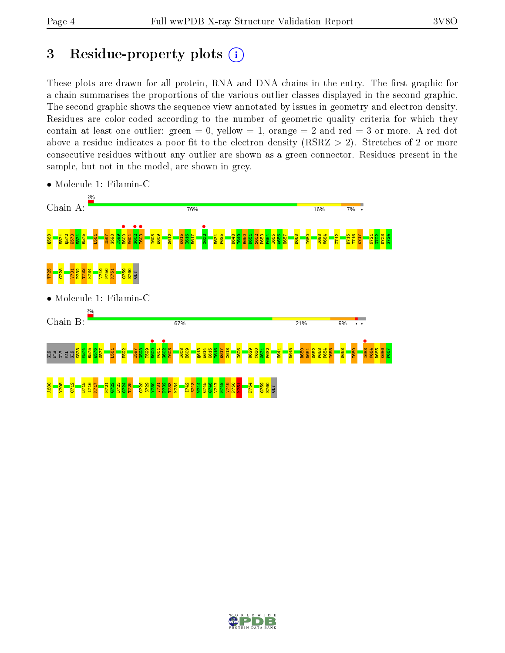## 3 Residue-property plots  $(i)$

These plots are drawn for all protein, RNA and DNA chains in the entry. The first graphic for a chain summarises the proportions of the various outlier classes displayed in the second graphic. The second graphic shows the sequence view annotated by issues in geometry and electron density. Residues are color-coded according to the number of geometric quality criteria for which they contain at least one outlier: green  $= 0$ , yellow  $= 1$ , orange  $= 2$  and red  $= 3$  or more. A red dot above a residue indicates a poor fit to the electron density (RSRZ  $> 2$ ). Stretches of 2 or more consecutive residues without any outlier are shown as a green connector. Residues present in the sample, but not in the model, are shown in grey.



• Molecule 1: Filamin-C

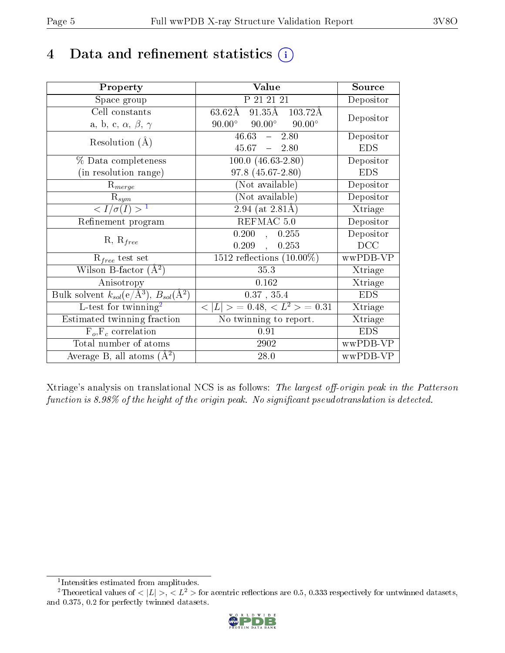## 4 Data and refinement statistics  $(i)$

| Property                                                   | Value                                            | Source     |
|------------------------------------------------------------|--------------------------------------------------|------------|
| Space group                                                | P 21 21 21                                       | Depositor  |
| Cell constants                                             | $63.62\text{\AA}$ 91.35Å 103.72Å                 | Depositor  |
| a, b, c, $\alpha$ , $\beta$ , $\gamma$                     | $90.00^{\circ}$ $90.00^{\circ}$<br>$90.00^\circ$ |            |
| Resolution $(A)$                                           | 46.63<br>$-2.80$                                 | Depositor  |
|                                                            | $45.67 - 2.80$                                   | <b>EDS</b> |
| % Data completeness                                        | $100.0 (46.63 - 2.80)$                           | Depositor  |
| (in resolution range)                                      | 97.8 (45.67-2.80)                                | <b>EDS</b> |
| $\mathrm{R}_{merge}$                                       | (Not available)                                  | Depositor  |
| $\mathrm{R}_{sym}$                                         | $(No\bar{t}$ available)                          | Depositor  |
| $\langle I/\sigma(I) \rangle$ <sup>1</sup>                 | $\sqrt{2.94 \text{ (at } 2.81 \text{\AA})}$      | Xtriage    |
| Refinement program                                         | REFMAC 5.0                                       | Depositor  |
|                                                            | 0.200,<br>0.255                                  | Depositor  |
| $R, R_{free}$                                              | $0.209$ ,<br>0.253                               | DCC        |
| $\mathcal{R}_{free}$ test set                              | 1512 reflections $(10.00\%)$                     | wwPDB-VP   |
| Wilson B-factor $(A^2)$                                    | 35.3                                             | Xtriage    |
| Anisotropy                                                 | 0.162                                            | Xtriage    |
| Bulk solvent $k_{sol}$ (e/Å <sup>3</sup> ), $B_{sol}(A^2)$ | $0.37$ , $35.4$                                  | <b>EDS</b> |
| L-test for $\mathrm{twinning}^2$                           | $< L >$ = 0.48, $< L2$ = 0.31                    | Xtriage    |
| Estimated twinning fraction                                | No twinning to report.                           | Xtriage    |
| $F_o, F_c$ correlation                                     | 0.91                                             | <b>EDS</b> |
| Total number of atoms                                      | 2902                                             | wwPDB-VP   |
| Average B, all atoms $(A^2)$                               | 28.0                                             | wwPDB-VP   |

Xtriage's analysis on translational NCS is as follows: The largest off-origin peak in the Patterson function is  $8.98\%$  of the height of the origin peak. No significant pseudotranslation is detected.

<sup>&</sup>lt;sup>2</sup>Theoretical values of  $\langle |L| \rangle$ ,  $\langle L^2 \rangle$  for acentric reflections are 0.5, 0.333 respectively for untwinned datasets, and 0.375, 0.2 for perfectly twinned datasets.



<span id="page-4-1"></span><span id="page-4-0"></span><sup>1</sup> Intensities estimated from amplitudes.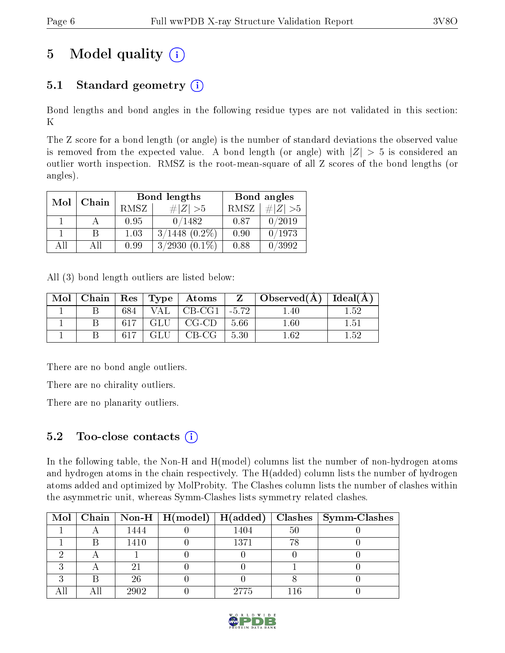# 5 Model quality  $(i)$

### 5.1 Standard geometry  $(i)$

Bond lengths and bond angles in the following residue types are not validated in this section: K

The Z score for a bond length (or angle) is the number of standard deviations the observed value is removed from the expected value. A bond length (or angle) with  $|Z| > 5$  is considered an outlier worth inspection. RMSZ is the root-mean-square of all Z scores of the bond lengths (or angles).

| Mol | Chain |      | <b>Bond lengths</b> | Bond angles |           |  |
|-----|-------|------|---------------------|-------------|-----------|--|
|     |       | RMSZ | # $ Z >5$           | RMSZ        | # $ Z >5$ |  |
|     |       | 0.95 | 0/1482              | 0.87        | /2019     |  |
|     | В     | 1.03 | $3/1448$ $(0.2\%)$  | 0.90        | /1973     |  |
| AП  | Αll   | 0.99 | $3/2930$ $(0.1\%)$  | 0.88        | /3992     |  |

All (3) bond length outliers are listed below:

|  |         |       | $\text{Mol}$   Chain   Res   Type   Atoms | $\mathbf{Z}$ | $\mid$ Observed(Å) $\mid$ Ideal(Å) $\mid$ |      |
|--|---------|-------|-------------------------------------------|--------------|-------------------------------------------|------|
|  | 684     |       | $\vdash$ VAL $\mid$ CB-CG1 $\mid$         | $-5.72$      | 1.40                                      | 152  |
|  | - 617 - |       | $\mid$ GLU $\mid$ CG-CD $\mid$            | - 5.66       | $1.60\,$                                  | 1.51 |
|  | 617     | GLU – | $\vert$ CB-CG $\vert$                     | 5.30         | 1 62                                      | 1.52 |

There are no bond angle outliers.

There are no chirality outliers.

There are no planarity outliers.

### 5.2 Too-close contacts  $(i)$

In the following table, the Non-H and H(model) columns list the number of non-hydrogen atoms and hydrogen atoms in the chain respectively. The H(added) column lists the number of hydrogen atoms added and optimized by MolProbity. The Clashes column lists the number of clashes within the asymmetric unit, whereas Symm-Clashes lists symmetry related clashes.

|  |      | Mol   Chain   Non-H   H(model)   H(added) |      |    | Clashes   Symm-Clashes |
|--|------|-------------------------------------------|------|----|------------------------|
|  | 1444 |                                           | 1404 | 50 |                        |
|  | 1410 |                                           | 1371 | 78 |                        |
|  |      |                                           |      |    |                        |
|  |      |                                           |      |    |                        |
|  | 26   |                                           |      |    |                        |
|  | 2902 |                                           | 2775 |    |                        |

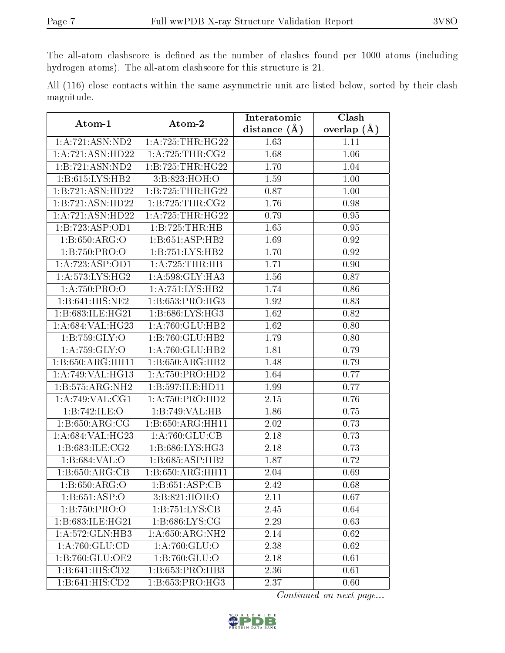The all-atom clashscore is defined as the number of clashes found per 1000 atoms (including hydrogen atoms). The all-atom clashscore for this structure is 21.

|            |  |  | All (116) close contacts within the same asymmetric unit are listed below, sorted by their clash |  |  |  |  |
|------------|--|--|--------------------------------------------------------------------------------------------------|--|--|--|--|
| magnitude. |  |  |                                                                                                  |  |  |  |  |

| Atom-1              | Atom-2                              | Interatomic    | Clash           |  |
|---------------------|-------------------------------------|----------------|-----------------|--|
|                     |                                     | distance $(A)$ | overlap $(\AA)$ |  |
| 1: A:721: ASN:ND2   | 1: A: 725: THR: HG22                | 1.63           | 1.11            |  |
| 1:A:721:ASN:HD22    | 1: A:725:THR:CG2                    | 1.68           | 1.06            |  |
| 1:B:721:ASN:ND2     | 1:B:725:THR:HG22                    | 1.70           | 1.04            |  |
| 1:B:615:LYS:HB2     | 3:B:823:HOH:O                       | 1.59           | 1.00            |  |
| 1:B:721:ASN:HD22    | 1: B: 725: THR: HG22                | 0.87           | $1.00\,$        |  |
| 1:B:721:ASN:HD22    | 1: B: 725: THR: CG2                 | 1.76           | 0.98            |  |
| 1:A:721:ASN:HD22    | 1: A:725:THR:HG22                   | 0.79           | $0.95\,$        |  |
| 1:B:723:ASP:OD1     | 1:B:725:THR:HB                      | 1.65           | 0.95            |  |
| 1:B:650:ARG:O       | 1:B:651:ASP:HB2                     | 1.69           | 0.92            |  |
| 1:B:750:PRO:O       | $1:B:751:\overline{\text{LYS:HB2}}$ | 1.70           | 0.92            |  |
| 1:A:723:ASP:OD1     | 1:A:725:THR:HB                      | 1.71           | 0.90            |  |
| 1: A: 573: LYS: HG2 | 1:A:598:GLY:HA3                     | 1.56           | 0.87            |  |
| 1:A:750:PRO:O       | 1:A:751:LYS:HB2                     | 1.74           | 0.86            |  |
| 1:B:641:HIS:NE2     | $1:B:653:PRO:H\overline{G3}$        | 1.92           | 0.83            |  |
| 1:B:683:ILE:HG21    | 1:B:686:LYS:HG3                     | 1.62           | 0.82            |  |
| 1:A:684:VAL:HG23    | 1: A:760: GLU:HB2                   | 1.62           | 0.80            |  |
| 1:B:759:GLY:O       | 1:B:760:GLU:HB2                     | 1.79           | 0.80            |  |
| 1: A: 759: GLY: O   | 1: A:760: GLU:HB2                   | 1.81           | 0.79            |  |
| 1:B:650:ARG:HH11    | 1:B:650:ARG:HB2                     | 1.48           | 0.79            |  |
| 1: A:749: VAL:HG13  | 1:A:750:PRO:HD2                     | 1.64           | 0.77            |  |
| 1:B:575:ARG:NH2     | 1:B:597:ILE:HD11                    | 1.99           | 0.77            |  |
| 1: A:749: VAL:CG1   | 1:A:750:PRO:HD2                     | 2.15           | 0.76            |  |
| 1:B:742:ILE:O       | 1:B:749:VAL:HB                      | 1.86           | 0.75            |  |
| 1: B:650: ARG:CG    | 1:B:650:ARG:HH11                    | 2.02           | 0.73            |  |
| 1:A:684:VAL:HG23    | 1: A:760: GLU:CB                    | 2.18           | 0.73            |  |
| 1:B:683:ILE:CG2     | 1:B:686:LYS:HG3                     | 2.18           | 0.73            |  |
| 1:B:684:VAL:O       | 1:B:685:ASP:HB2                     | 1.87           | 0.72            |  |
| 1:B:650:ARG:CB      | 1:B:650:ARG:HH11                    | 2.04           | 0.69            |  |
| 1: B:650: ARG:O     | 1:B:651:ASP:CB                      | 2.42           | 0.68            |  |
| 1: B: 651: ASP:O    | 3:B:821:HOH:O                       | 2.11           | 0.67            |  |
| 1:B:750:PRO:O       | 1: B: 751: LYS: CB                  | 2.45           | 0.64            |  |
| 1:B:683:ILE:HG21    | 1:B:686:LYS:CG                      | 2.29           | 0.63            |  |
| 1:A:572:GLN:HB3     | $1: A:650:ARG:N\overline{H2}$       | 2.14           | 0.62            |  |
| 1: A:760: GLU:CD    | 1: A:760: GLU:O                     | 2.38           | 0.62            |  |
| 1:B:760:GLU:OE2     | 1:B:760:GLU:O                       | 2.18           | 0.61            |  |
| 1:B:641:HIS:CD2     | 1:B:653:PRO:HB3                     | 2.36           | 0.61            |  |
| 1:B:641:HIS:CD2     | 1:B:653:PRO:HG3                     | 2.37           | 0.60            |  |

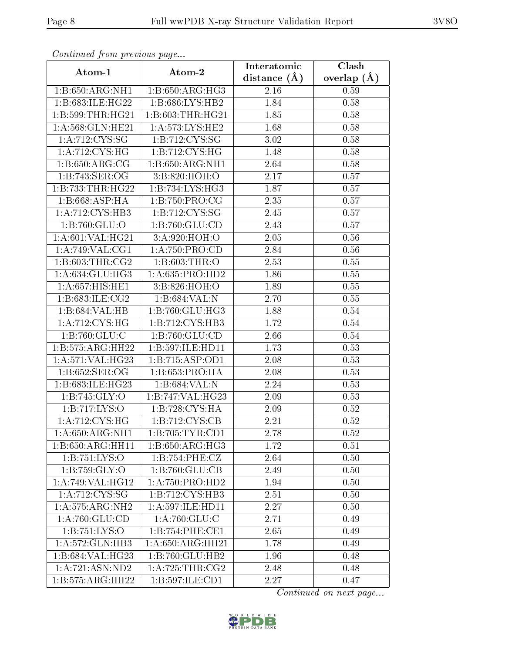| Continuea from previous page           |                              | Interatomic    | Clash         |  |
|----------------------------------------|------------------------------|----------------|---------------|--|
| Atom-1                                 | Atom-2                       | distance $(A)$ | overlap $(A)$ |  |
| 1:B:650:ARG:NH1                        | 1: B:650: ARG: HG3           | 2.16           | 0.59          |  |
| 1:B:683:ILE:HG22                       | 1: B:686: LYS: HB2           | 1.84           | 0.58          |  |
| 1:B:599:THR:HG21                       | 1:B:603:THR:HG21             | 1.85           | 0.58          |  |
| 1:A:568:GLN:HE21                       | 1:A:573:LYS:HE2              | 1.68           | 0.58          |  |
| 1: A:712:CYS:SG                        | 1:B:712:CYS:SG               | 3.02           | 0.58          |  |
| 1:A:712:CYS:HG                         | 1:B:712:CYS:HG               | 1.48           | 0.58          |  |
| 1: B:650: ARG: CG                      | 1:B:650:ARG:NH1              | 2.64           | 0.58          |  |
| 1:B:743:SER:OG                         | 3: B:820:HOH:O               | 2.17           | 0.57          |  |
| 1: B: 733: THR: HG22                   | 1: B: 734: LYS: HG3          | 1.87           | 0.57          |  |
| 1: B:668:ASP:HA                        | 1: B: 750: PRO: CG           | 2.35           | 0.57          |  |
| 1:A:712:CYS:HB3                        | 1: B: 712: CYS: SG           | 2.45           | 0.57          |  |
| 1: B:760: GLU:O                        | 1:B:760:GLU:CD               | 2.43           | 0.57          |  |
| 1: A:601: VAL:HG21                     | 3:A:920:HOH:O                | 2.05           | 0.56          |  |
| 1: A:749: VAL:CG1                      | 1: A: 750: PRO:CD            | 2.84           | 0.56          |  |
| 1: B:603:THR:CG2                       | 1: B:603:THR:O               | 2.53           | 0.55          |  |
| 1:A:634:GLU:HG3                        | 1: A:635: PRO:HD2            | 1.86           | 0.55          |  |
| 1:A:657:HIS:HE1                        | 3:B:826:HOH:O                | 1.89           | 0.55          |  |
| 1: B:683: ILE: CG2                     | 1:B:684:VAL:N                | 2.70           | $0.55\,$      |  |
| 1:B:684:VAL:HB                         | 1:B:760:GLU:HG3              | <b>1.88</b>    | 0.54          |  |
| 1: A:712: CYS:HG                       | $1:B:712:CYS:H\overline{B3}$ | 1.72           | 0.54          |  |
| 1:B:760:GLU:C                          | 1:B:760:GLU:CD               | 2.66           | 0.54          |  |
| 1:B:575:ARG:HH22                       | 1:B:597:ILE:HD11             | 1.73           | 0.53          |  |
| 1:A:571:VAL:HG23                       | 1:B:715:ASP:OD1              | 2.08           | 0.53          |  |
| 1:B:652:SER:OG                         | 1:B:653:PRO:HA               | 2.08           | 0.53          |  |
| 1:B:683:ILE:HG23                       | 1:B:684:VAL:N                | 2.24           | 0.53          |  |
| 1: B:745: GLY:O                        | 1:B:747:VAL:HG23             | $2.09\,$       | 0.53          |  |
| 1:B:717:LYS:O                          | 1:B:728:CYS:HA               | $2.09\,$       | 0.52          |  |
| 1: A:712: CYS:HG                       | 1:B:712:CYS:CB               | 2.21           | 0.52          |  |
| 1:A:650:ARG:NH1                        | 1:B:705:TYR:CD1              | 2.78           | 0.52          |  |
| 1:B:650:ARG:HH11                       | 1:B:650:ARG:HG3              | 1.72           | 0.51          |  |
| 1: B: 751: LYS: O                      | 1:B:754:PHE:CZ               | 2.64           | 0.50          |  |
| 1:B:759:GLY:O                          | 1:B:760:GLU:CB               | 2.49           | 0.50          |  |
| 1:A:749:VAL:HG12                       | 1: A: 750: PRO: HD2          | 1.94           | 0.50          |  |
| 1: A:712: CYS:SG                       | 1:B:712:CYS:HB3              | 2.51           | 0.50          |  |
| 1: A: 575: ARG: NH2                    | 1: A:597: ILE:HD11           | 2.27           | 0.50          |  |
| 1: A:760: GLU:CD                       | 1: A:760: GLU: C             | 2.71           | 0.49          |  |
| 1:B:751:LYS:O                          | 1:B:754:PHE:CE1              | 2.65           | 0.49          |  |
| 1:A:572:GLN:HB3                        | 1: A:650:ARG:HH21            | 1.78           | 0.49          |  |
| 1:B:684:VAL:HG23                       | 1:B:760:GLU:HB2              | 1.96           | 0.48          |  |
| 1: A:721: ASN:ND2                      | 1: A:725:THR:CG2             | 2.48           | 0.48          |  |
| $1:B:575:A\overline{\mathrm{RG:HH}22}$ | 1:B:597:ILE:CD1              | 2.27           | 0.47          |  |

Continued from previous page.

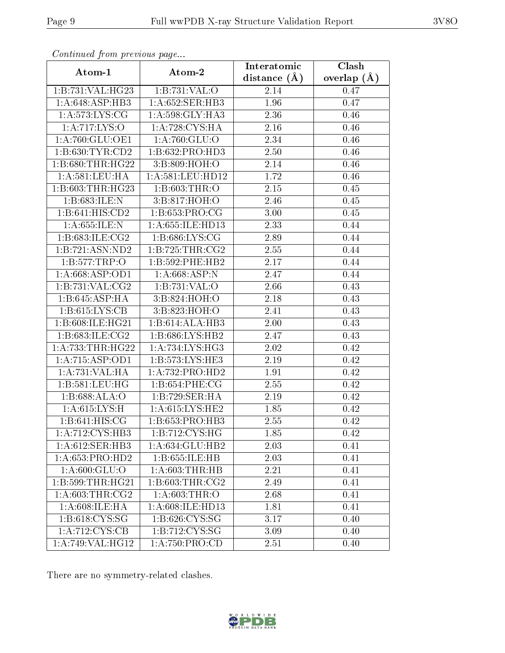| Continued from previous page   |                      | Interatomic      | $\overline{\text{Clash}}$ |
|--------------------------------|----------------------|------------------|---------------------------|
| Atom-1                         | Atom-2               | distance $(\AA)$ | overlap $(\AA)$           |
| 1:B:731:VAL:HG23               | 1:B:731:VAL:O        | $2.14\,$         | 0.47                      |
| 1: A:648: ASP:HB3              | 1: A:652: SER:HB3    | 1.96             | 0.47                      |
| 1: A:573: LYS: CG              | 1:A:598:GLY:HA3      | 2.36             | 0.46                      |
| 1:A:717:LYS:O                  | 1: A:728: CYS:HA     | 2.16             | 0.46                      |
| 1:A:760:GLU:OE1                | 1: A:760: GLU:O      | 2.34             | 0.46                      |
| 1: B:630: TYR:CD2              | 1:B:632:PRO:HD3      | 2.50             | 0.46                      |
| 1:B:680:THR:HG22               | 3:B:809:HOH:O        | $2.14\,$         | 0.46                      |
| 1: A:581:LEU:HA                | 1: A:581:LEU:HD12    | 1.72             | 0.46                      |
| 1:B:603:THR:HG23               | 1: B:603:THR:O       | 2.15             | 0.45                      |
| 1:B:683:ILE:N                  | 3:B:817:HOH:O        | 2.46             | 0.45                      |
| 1:B:641:HIS:CD2                | 1:B:653:PRO:CG       | 3.00             | 0.45                      |
| 1: A:655: ILE:N                | 1: A: 655: ILE: HD13 | 2.33             | 0.44                      |
| 1:B:683:ILE:CG2                | 1:B:686:LYS:CG       | 2.89             | 0.44                      |
| 1:B:721:ASN:ND2                | 1:B:725:THR:CG2      | 2.55             | 0.44                      |
| 1:B:577:TRP:O                  | 1:B:592:PHE:HB2      | 2.17             | 0.44                      |
| 1: A:668: ASP:OD1              | 1: A:668: ASP: N     | 2.47             | 0.44                      |
| 1:B:731:VAL:CG2                | 1:B:731:VAL:O        | 2.66             | 0.43                      |
| 1:B:645:ASP:HA                 | 3:B:824:HOH:O        | 2.18             | 0.43                      |
| 1: B:615: LYS: CB              | 3:B:823:HOH:O        | 2.41             | 0.43                      |
| 1:B:608:ILE:HG21               | 1:B:614:ALA:HB3      | 2.00             | 0.43                      |
| 1: B:683: ILE: CG2             | 1: B:686: LYS: HB2   | 2.47             | 0.43                      |
| 1: A: 733: THR: HG22           | 1: A:734:LYS:HG3     | 2.02             | 0.42                      |
| 1:A:715:ASP:OD1                | 1:B:573:LYS:HE3      | 2.19             | 0.42                      |
| 1:A:731:VAL:HA                 | 1:A:732:PRO:HD2      | 1.91             | 0.42                      |
| 1: B:581:LEU:HG                | 1:B:654:PHE:CG       | 2.55             | 0.42                      |
| 1:B:688:ALA:O                  | 1:B:729:SER:HA       | 2.19             | 0.42                      |
| 1: A:615: LYS:H                | 1:A:615:LYS:HE2      | 1.85             | 0.42                      |
| $1: B:641: HIS: \overline{CG}$ | 1:B:653:PRO:HB3      | 2.55             | 0.42                      |
| 1:A:712:CYS:HB3                | 1:B:712:CYS:HG       | 1.85             | 0.42                      |
| 1:A:612:SER:HB3                | 1:A:634:GLU:HB2      | 2.03             | 0.41                      |
| 1: A:653: PRO:HD2              | 1:B:655:ILE:HB       | 2.03             | 0.41                      |
| 1:A:600:GLU:O                  | 1: A:603:THR:HB      | 2.21             | 0.41                      |
| 1:B:599:THR:HG21               | 1: B:603:THR:CG2     | 2.49             | 0.41                      |
| 1: A:603:THR:CG2               | 1:A:603:THR:O        | 2.68             | 0.41                      |
| 1: A:608: ILE: HA              | 1: A:608: ILE: HD13  | 1.81             | 0.41                      |
| 1:B:618:CYS:SG                 | 1:B:626:CYS:SG       | 3.17             | 0.40                      |
| 1:A:712:CYS:CB                 | 1:B:712:CYS:SG       | 3.09             | 0.40                      |
| 1:A:749:VAL:HG12               | 1: A:750: PRO:CD     | 2.51             | 0.40                      |

Continued from previous page.

There are no symmetry-related clashes.

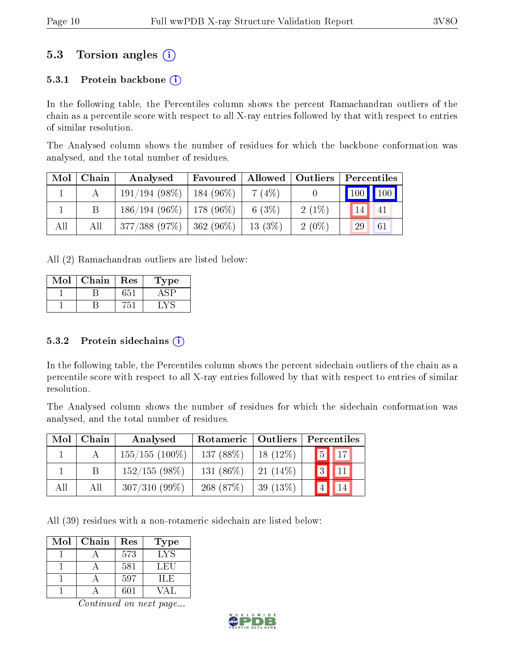### 5.3 Torsion angles (i)

#### 5.3.1 Protein backbone  $(i)$

In the following table, the Percentiles column shows the percent Ramachandran outliers of the chain as a percentile score with respect to all X-ray entries followed by that with respect to entries of similar resolution.

The Analysed column shows the number of residues for which the backbone conformation was analysed, and the total number of residues.

| Mol | Chain | Analysed                      | Favoured              | $\blacksquare$ Allowed $\blacksquare$ | Outliers | Percentiles |                         |
|-----|-------|-------------------------------|-----------------------|---------------------------------------|----------|-------------|-------------------------|
|     |       | $191/194(98\%)$               | $\frac{1}{184}$ (96%) | 7(4%)                                 |          |             | $\vert$ 100 $\vert$ 100 |
|     |       | $186/194$ (96\%)   178 (96\%) |                       | 6 $(3%)$                              | $2(1\%)$ | 14          | 41                      |
| All | Аll   | 377/388(97%)                  | $ 362(96\%)$          | $13(3\%)$                             | $2(0\%)$ | 29          | 61                      |

All (2) Ramachandran outliers are listed below:

| Mol | Chain | Res | Type |
|-----|-------|-----|------|
|     |       |     |      |
|     |       |     |      |

#### 5.3.2 Protein sidechains  $(i)$

In the following table, the Percentiles column shows the percent sidechain outliers of the chain as a percentile score with respect to all X-ray entries followed by that with respect to entries of similar resolution.

The Analysed column shows the number of residues for which the sidechain conformation was analysed, and the total number of residues.

| Mol | Chain | Analysed          | Rotameric   Outliers |            | Percentiles                   |  |  |
|-----|-------|-------------------|----------------------|------------|-------------------------------|--|--|
|     |       | $155/155$ (100\%) | 137 (88%)            | $18(12\%)$ | $\overline{5}$<br>$\sqrt{17}$ |  |  |
|     | B.    | $152/155(98\%)$   | 131 $(86\%)$         | $21(14\%)$ | $\overline{3}$<br> 11         |  |  |
| All | All   | $307/310(99\%)$   | 268 $(87%)$          | 39 $(13%)$ | "4,                           |  |  |

All (39) residues with a non-rotameric sidechain are listed below:

| Mol | Chain | Res | Type |
|-----|-------|-----|------|
|     |       | 573 | LYS  |
|     |       | 581 | LEU  |
|     |       | 597 | ILE. |
|     |       | 601 | VΔI  |

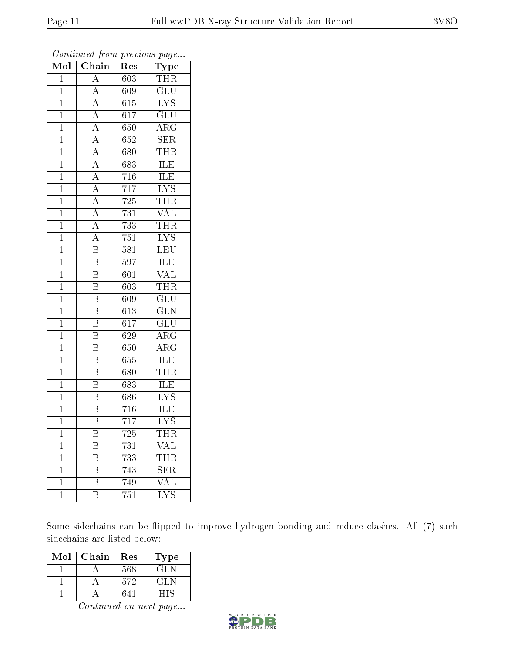| Mol            | Chain                    | $\operatorname{Res}% \left( \mathcal{N}\right) \equiv\operatorname{Res}(\mathcal{N}_{0})\left( \mathcal{N}_{0}\right) ^{2}$ | Type                       |
|----------------|--------------------------|-----------------------------------------------------------------------------------------------------------------------------|----------------------------|
| $\overline{1}$ | $\overline{\rm A}$       | 603                                                                                                                         | THR                        |
| $\mathbf{1}$   | $\overline{A}$           | 609                                                                                                                         | <b>GLU</b>                 |
| $\overline{1}$ | $\overline{A}$           | 615                                                                                                                         | $\overline{\text{LYS}}$    |
| $\mathbf{1}$   | $\overline{A}$           | 617                                                                                                                         | $\widetilde{{\rm GLU}}$    |
| $\mathbf 1$    | $\overline{A}$           | 650                                                                                                                         | $\overline{\rm{ARG}}$      |
| $\mathbf{1}$   | $\overline{A}$           | 652                                                                                                                         | <b>SER</b>                 |
| $\overline{1}$ | $\overline{A}$           | 680                                                                                                                         | THR                        |
| $\mathbf{1}$   | $\overline{A}$           | 683                                                                                                                         | ILE                        |
| $\mathbf{1}$   | $\overline{A}$           | 716                                                                                                                         | <b>ILE</b>                 |
| $\overline{1}$ | $\frac{\overline{A}}{A}$ | $\overline{717}$                                                                                                            | $\overline{\text{LYS}}$    |
| $\mathbf{1}$   |                          | 725                                                                                                                         | <b>THR</b>                 |
| $\overline{1}$ | $\overline{A}$           | 731                                                                                                                         | $\overline{\text{VAL}}$    |
| $\mathbf{1}$   | $\overline{A}$           | 733                                                                                                                         | <b>THR</b>                 |
| $\mathbf{1}$   | $\overline{A}$           | 751                                                                                                                         | $\overline{\text{LYS}}$    |
| $\mathbf 1$    | $\overline{\mathrm{B}}$  | 581                                                                                                                         | LEU                        |
| $\overline{1}$ | $\overline{\text{B}}$    | 597                                                                                                                         | ILE                        |
| $\overline{1}$ | $\overline{\mathrm{B}}$  | 601                                                                                                                         | $\overline{\text{VAL}}$    |
| $\mathbf 1$    | $\overline{\mathrm{B}}$  | 603                                                                                                                         | <b>THR</b>                 |
| $\mathbf{1}$   | $\overline{\mathrm{B}}$  | 609                                                                                                                         | $\overline{\text{GLU}}$    |
| $\overline{1}$ | $\overline{\mathrm{B}}$  | 613                                                                                                                         | $\overline{\text{GLN}}$    |
| $\mathbf{1}$   | B                        | 617                                                                                                                         | GLU                        |
| $\overline{1}$ | $\overline{\mathrm{B}}$  | 629                                                                                                                         | $\overline{\rm ARG}$       |
| $\mathbf{1}$   | $\overline{\mathrm{B}}$  | 650                                                                                                                         | $\overline{\rm A}{\rm RG}$ |
| $\overline{1}$ | $\overline{\mathrm{B}}$  | 655                                                                                                                         | $\overline{\text{ILE}}$    |
| $\mathbf{1}$   | $\overline{\mathrm{B}}$  | 680                                                                                                                         | THR                        |
| $\overline{1}$ | $\overline{\mathrm{B}}$  | 683                                                                                                                         | ILE                        |
| $\mathbf{1}$   | $\overline{\mathrm{B}}$  | 686                                                                                                                         | $\overline{\text{LYS}}$    |
| $\mathbf{1}$   | $\overline{\mathrm{B}}$  | 716                                                                                                                         | ILE                        |
| $\overline{1}$ | $\overline{\mathrm{B}}$  | 717                                                                                                                         | $\overline{\mathrm{LYS}}$  |
| 1              | B                        | 725                                                                                                                         | THR                        |
| $\mathbf{1}$   | Β                        | 731                                                                                                                         | VAL                        |
| $\mathbf 1$    | Β                        | 733                                                                                                                         | THR                        |
| $\mathbf 1$    | B                        | 743                                                                                                                         | <b>SER</b>                 |
| $\mathbf 1$    | Β                        | 749                                                                                                                         | $\overline{\text{VAL}}$    |
| $\mathbf{1}$   | Β                        | 751                                                                                                                         | <b>LYS</b>                 |

Continued from previous page...

Some sidechains can be flipped to improve hydrogen bonding and reduce clashes. All (7) such sidechains are listed below:

| Mol | Chain | Res | Гуре |
|-----|-------|-----|------|
|     |       | 568 | GLN  |
|     |       | 572 | GL N |
|     |       | 641 |      |

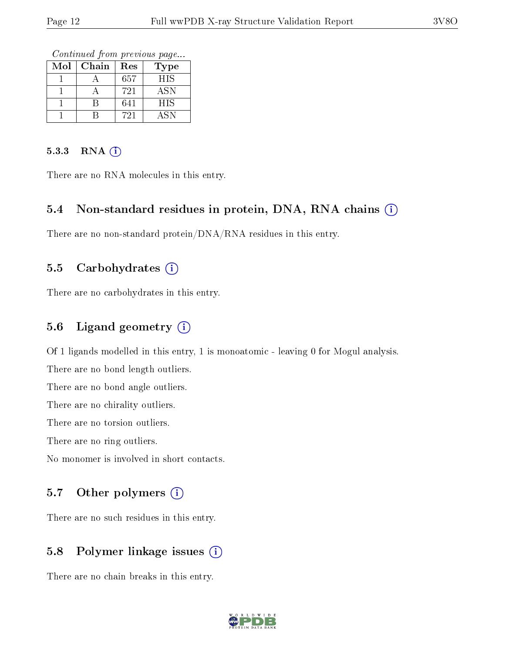Continued from previous page...

| Mol | Chain | Res | Type       |
|-----|-------|-----|------------|
|     |       | 657 | <b>HIS</b> |
|     |       | 721 | ASN        |
|     |       | 641 | HIS        |
|     |       | 721 | A SN       |

#### 5.3.3 RNA (i)

There are no RNA molecules in this entry.

#### 5.4 Non-standard residues in protein, DNA, RNA chains  $(i)$

There are no non-standard protein/DNA/RNA residues in this entry.

#### 5.5 Carbohydrates  $(i)$

There are no carbohydrates in this entry.

#### 5.6 Ligand geometry  $(i)$

Of 1 ligands modelled in this entry, 1 is monoatomic - leaving 0 for Mogul analysis.

There are no bond length outliers.

There are no bond angle outliers.

There are no chirality outliers.

There are no torsion outliers.

There are no ring outliers.

No monomer is involved in short contacts.

#### 5.7 [O](https://www.wwpdb.org/validation/2017/XrayValidationReportHelp#nonstandard_residues_and_ligands)ther polymers (i)

There are no such residues in this entry.

#### 5.8 Polymer linkage issues (i)

There are no chain breaks in this entry.

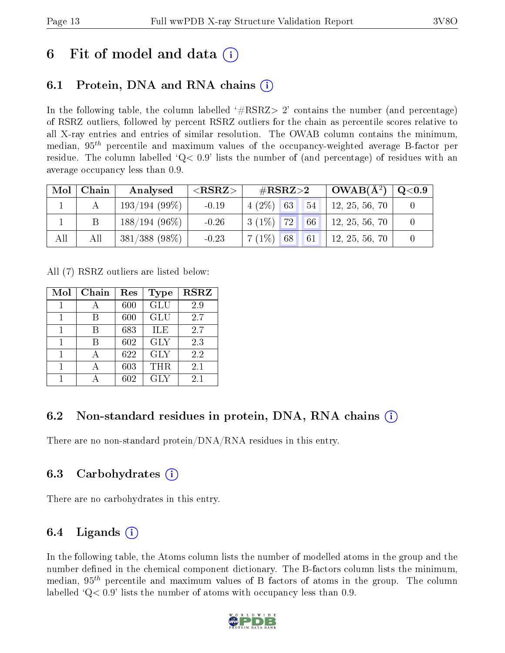## 6 Fit of model and data  $\left( \cdot \right)$

### 6.1 Protein, DNA and RNA chains (i)

In the following table, the column labelled  $#RSRZ>2'$  contains the number (and percentage) of RSRZ outliers, followed by percent RSRZ outliers for the chain as percentile scores relative to all X-ray entries and entries of similar resolution. The OWAB column contains the minimum, median,  $95<sup>th</sup>$  percentile and maximum values of the occupancy-weighted average B-factor per residue. The column labelled  $Q < 0.9$  lists the number of (and percentage) of residues with an average occupancy less than 0.9.

| Mol | Chain | Analysed         | ${ <\hspace{-1.5pt}{\mathrm{RSRZ}} \hspace{-1.5pt}>}$ | $\#\text{RSRZ}{>}2$ |                   | $OWAB(A^2)$    | $\rm Q\textcolor{black}{<}0.9$ |
|-----|-------|------------------|-------------------------------------------------------|---------------------|-------------------|----------------|--------------------------------|
|     |       | 193/194(99%)     | $-0.19$                                               | $4(2\%)$ 63         | 54                | 12, 25, 56, 70 |                                |
|     |       | $188/194(96\%)$  | $-0.26$                                               | $3(1\%)$ 72 66      |                   | 12, 25, 56, 70 |                                |
| All | All   | $381/388$ (98\%) | $-0.23$                                               | $7(1\%)$ 68         | $\blacksquare$ 61 | 12, 25, 56, 70 |                                |

All (7) RSRZ outliers are listed below:

| Mol | Chain | Res | Type       | <b>RSRZ</b> |
|-----|-------|-----|------------|-------------|
|     |       | 600 | GLU        | 2.9         |
| 1   | R     | 600 | GLU        | 2.7         |
|     |       | 683 | <b>ILE</b> | 2.7         |
| 1   | R     | 602 | <b>GLY</b> | 2.3         |
| 1   |       | 622 | <b>GLY</b> | 2.2         |
|     |       | 603 | THR        | 2.1         |
|     |       | 602 | <b>GLY</b> | 2.1         |

### 6.2 Non-standard residues in protein, DNA, RNA chains (i)

There are no non-standard protein/DNA/RNA residues in this entry.

### 6.3 Carbohydrates (i)

There are no carbohydrates in this entry.

### 6.4 Ligands  $(i)$

In the following table, the Atoms column lists the number of modelled atoms in the group and the number defined in the chemical component dictionary. The B-factors column lists the minimum, median,  $95<sup>th</sup>$  percentile and maximum values of B factors of atoms in the group. The column labelled  $Q< 0.9$ ' lists the number of atoms with occupancy less than 0.9.